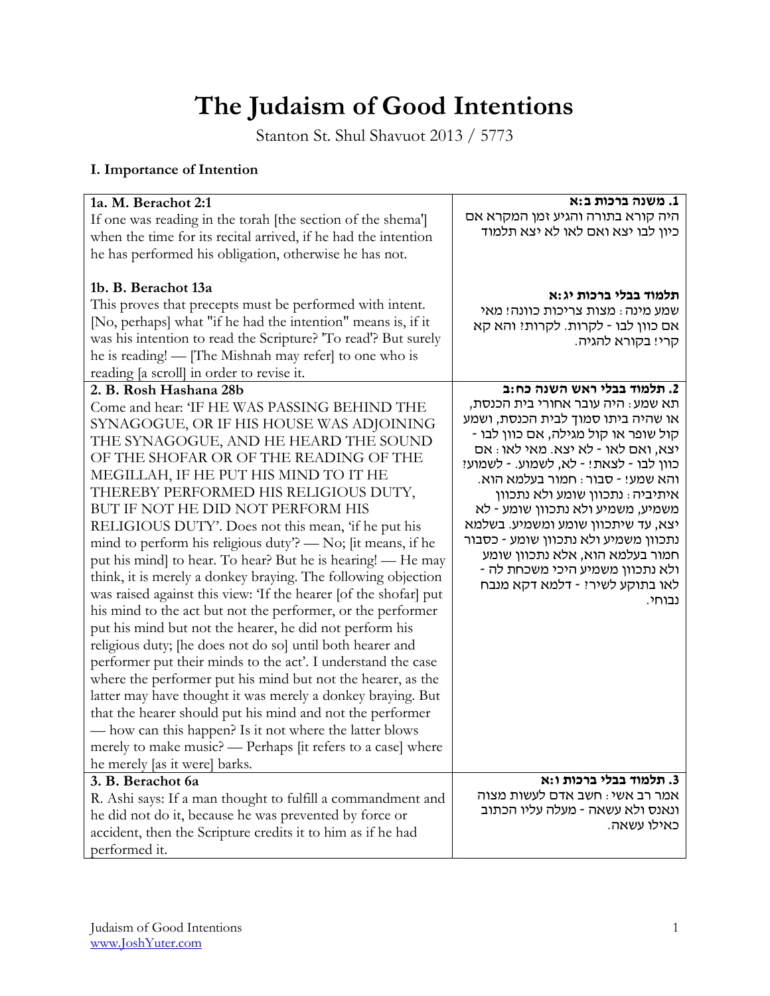# **The Judaism of Good Intentions**

Stanton St. Shul Shavuot 2013 / 5773

# **I. Importance of Intention**

| 1a. M. Berachot 2:1<br>If one was reading in the torah [the section of the shema']<br>when the time for its recital arrived, if he had the intention<br>he has performed his obligation, otherwise he has not.<br>1b. B. Berachot 13a<br>This proves that precepts must be performed with intent.<br>[No, perhaps] what "if he had the intention" means is, if it<br>was his intention to read the Scripture? "To read"? But surely<br>he is reading! — [The Mishnah may refer] to one who is<br>reading [a scroll] in order to revise it.                                                                                                                                                                                                                                                                                                                                                                                                                                                                                                                                                                                                                                                                                                                         | 1. משנה ברכות ב:א<br>היה קורא בתורה והגיע זמן המקרא אם<br>כיון לבו יצא ואם לאו לא יצא תלמוד<br>תלמוד בבלי ברכות יג:א<br>שמע מינה: מצות צריכות כוונה! מאי<br>אם כוון לבו - לקרות. לקרות: והא קא<br>קרי! בקורא להגיה.                                                                                                                                                                                                                                                                                                                             |
|--------------------------------------------------------------------------------------------------------------------------------------------------------------------------------------------------------------------------------------------------------------------------------------------------------------------------------------------------------------------------------------------------------------------------------------------------------------------------------------------------------------------------------------------------------------------------------------------------------------------------------------------------------------------------------------------------------------------------------------------------------------------------------------------------------------------------------------------------------------------------------------------------------------------------------------------------------------------------------------------------------------------------------------------------------------------------------------------------------------------------------------------------------------------------------------------------------------------------------------------------------------------|-------------------------------------------------------------------------------------------------------------------------------------------------------------------------------------------------------------------------------------------------------------------------------------------------------------------------------------------------------------------------------------------------------------------------------------------------------------------------------------------------------------------------------------------------|
| 2. B. Rosh Hashana 28b<br>Come and hear: 'IF HE WAS PASSING BEHIND THE<br>SYNAGOGUE, OR IF HIS HOUSE WAS ADJOINING<br>THE SYNAGOGUE, AND HE HEARD THE SOUND<br>OF THE SHOFAR OR OF THE READING OF THE<br>MEGILLAH, IF HE PUT HIS MIND TO IT HE<br>THEREBY PERFORMED HIS RELIGIOUS DUTY,<br>BUT IF NOT HE DID NOT PERFORM HIS<br>RELIGIOUS DUTY'. Does not this mean, 'if he put his<br>mind to perform his religious duty? — No; [it means, if he<br>put his mind] to hear. To hear? But he is hearing! — He may<br>think, it is merely a donkey braying. The following objection<br>was raised against this view: 'If the hearer [of the shofar] put<br>his mind to the act but not the performer, or the performer<br>put his mind but not the hearer, he did not perform his<br>religious duty; [he does not do so] until both hearer and<br>performer put their minds to the act'. I understand the case<br>where the performer put his mind but not the hearer, as the<br>latter may have thought it was merely a donkey braying. But<br>that the hearer should put his mind and not the performer<br>— how can this happen? Is it not where the latter blows<br>merely to make music? - Perhaps [it refers to a case] where<br>he merely [as it were] barks. | 2. תלמוד בבלי ראש השנה כח:ב<br>תא שמע : היה עובר אחורי בית הכנסת,<br>או שהיה ביתו סמוך לבית הכנסת, ושמע<br>קול שופר או קול מגילה, אם כוון לבו -<br>יצא, ואם לאו - לא יצא. מאי לאו : אם<br>כוון לבו - לצאת! - לא, לשמוע. - לשמוע?<br>והא שמע! - סבור : חמור בעלמא הוא.<br>איתיביה: נתכוון שומע ולא נתכוון<br>משמיע, משמיע ולא נתכוון שומע - לא<br>יצא, עד שיתכוון שומע ומשמיע. בשלמא<br>נתכוון משמיע ולא נתכוון שומע - כסבור<br>חמור בעלמא הוא, אלא נתכוון שומע<br>- ולא נתכוון משמיע היכי משכחת לה<br>לאו בתוקע לשיר? - דלמא דקא מנבח<br>נבוחי. |
| 3. B. Berachot 6a<br>R. Ashi says: If a man thought to fulfill a commandment and<br>he did not do it, because he was prevented by force or<br>accident, then the Scripture credits it to him as if he had<br>performed it.                                                                                                                                                                                                                                                                                                                                                                                                                                                                                                                                                                                                                                                                                                                                                                                                                                                                                                                                                                                                                                         | 3. תלמוד בבלי ברכות ו:א<br>אמר רב אשי: חשב אדם לעשות מצוה<br>ונאנס ולא עשאה - מעלה עליו הכתוב<br>כאילו עשאה.                                                                                                                                                                                                                                                                                                                                                                                                                                    |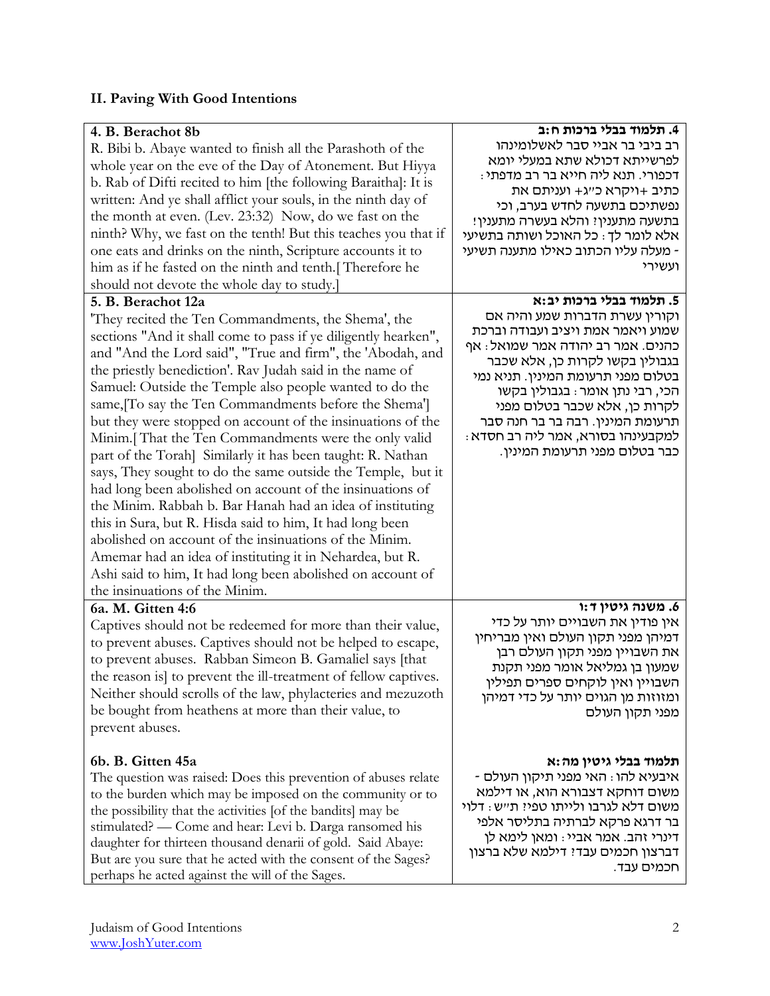## **II. Paving With Good Intentions**

| 4. B. Berachot 8b<br>R. Bibi b. Abaye wanted to finish all the Parashoth of the<br>whole year on the eve of the Day of Atonement. But Hiyya<br>b. Rab of Difti recited to him [the following Baraitha]: It is<br>written: And ye shall afflict your souls, in the ninth day of<br>the month at even. (Lev. 23:32) Now, do we fast on the<br>ninth? Why, we fast on the tenth! But this teaches you that if<br>one eats and drinks on the ninth, Scripture accounts it to<br>him as if he fasted on the ninth and tenth. Therefore he<br>should not devote the whole day to study.]<br>5. B. Berachot 12a<br>'They recited the Ten Commandments, the Shema', the<br>sections "And it shall come to pass if ye diligently hearken",<br>and "And the Lord said", "True and firm", the 'Abodah, and<br>the priestly benediction'. Rav Judah said in the name of<br>Samuel: Outside the Temple also people wanted to do the<br>same, To say the Ten Commandments before the Shema']<br>but they were stopped on account of the insinuations of the<br>Minim. [That the Ten Commandments were the only valid<br>part of the Torah] Similarly it has been taught: R. Nathan<br>says, They sought to do the same outside the Temple, but it<br>had long been abolished on account of the insinuations of<br>the Minim. Rabbah b. Bar Hanah had an idea of instituting<br>this in Sura, but R. Hisda said to him, It had long been<br>abolished on account of the insinuations of the Minim.<br>Amemar had an idea of instituting it in Nehardea, but R.<br>Ashi said to him, It had long been abolished on account of<br>the insinuations of the Minim. | 4. תלמוד בבלי ברכות ח:ב<br>רב ביבי בר אביי סבר לאשלומינהו<br>לפרשייתא דכולא שתא במעלי יומא<br>דכפורי. תנא ליה חייא בר רב מדפתי :<br>כתיב +ויקרא כ״ג+ ועניתם את<br>נפשתיכם בתשעה לחדש בערב, וכי<br>בתשעה מתענין? והלא בעשרה מתענין!<br>אלא לומר לך: כל האוכל ושותה בתשיעי<br>- מעלה עליו הכתוב כאילו מתענה תשיעי<br>ועשירי<br>5. תלמוד בבלי ברכות יב:א<br>וקורין עשרת הדברות שמע והיה אם<br>שמוע ויאמר אמת ויציב ועבודה וברכת<br>כהנים. אמר רב יהודה אמר שמואל: אף<br>בגבולין בקשו לקרות כן, אלא שכבר<br>בטלום מפני תרעומת המינין. תניא נמי<br>הכי, רבי נתן אומר : בגבולין בקשו<br>לקרות כן, אלא שכבר בטלום מפני<br>תרעומת המינין. רבה בר בר חנה סבר<br>למקבעינהו בסורא, אמר ליה רב חסדא :<br>כבר בטלום מפני תרעומת המינין. |
|-------------------------------------------------------------------------------------------------------------------------------------------------------------------------------------------------------------------------------------------------------------------------------------------------------------------------------------------------------------------------------------------------------------------------------------------------------------------------------------------------------------------------------------------------------------------------------------------------------------------------------------------------------------------------------------------------------------------------------------------------------------------------------------------------------------------------------------------------------------------------------------------------------------------------------------------------------------------------------------------------------------------------------------------------------------------------------------------------------------------------------------------------------------------------------------------------------------------------------------------------------------------------------------------------------------------------------------------------------------------------------------------------------------------------------------------------------------------------------------------------------------------------------------------------------------------------------------------------------------------------------------------------|----------------------------------------------------------------------------------------------------------------------------------------------------------------------------------------------------------------------------------------------------------------------------------------------------------------------------------------------------------------------------------------------------------------------------------------------------------------------------------------------------------------------------------------------------------------------------------------------------------------------------------------------------------------------------------------------------------------------------|
| 6a. M. Gitten 4:6                                                                                                                                                                                                                                                                                                                                                                                                                                                                                                                                                                                                                                                                                                                                                                                                                                                                                                                                                                                                                                                                                                                                                                                                                                                                                                                                                                                                                                                                                                                                                                                                                               | 6. משנה גיטין ד:ו                                                                                                                                                                                                                                                                                                                                                                                                                                                                                                                                                                                                                                                                                                          |
| Captives should not be redeemed for more than their value,                                                                                                                                                                                                                                                                                                                                                                                                                                                                                                                                                                                                                                                                                                                                                                                                                                                                                                                                                                                                                                                                                                                                                                                                                                                                                                                                                                                                                                                                                                                                                                                      | אין פודין את השבויים יותר על כדי                                                                                                                                                                                                                                                                                                                                                                                                                                                                                                                                                                                                                                                                                           |
| to prevent abuses. Captives should not be helped to escape,                                                                                                                                                                                                                                                                                                                                                                                                                                                                                                                                                                                                                                                                                                                                                                                                                                                                                                                                                                                                                                                                                                                                                                                                                                                                                                                                                                                                                                                                                                                                                                                     | דמיהן מפני תקון העולם ואין מבריחין                                                                                                                                                                                                                                                                                                                                                                                                                                                                                                                                                                                                                                                                                         |
| to prevent abuses. Rabban Simeon B. Gamaliel says [that                                                                                                                                                                                                                                                                                                                                                                                                                                                                                                                                                                                                                                                                                                                                                                                                                                                                                                                                                                                                                                                                                                                                                                                                                                                                                                                                                                                                                                                                                                                                                                                         | את השבויין מפני תקון העולם רבן                                                                                                                                                                                                                                                                                                                                                                                                                                                                                                                                                                                                                                                                                             |
| the reason is to prevent the ill-treatment of fellow captives.                                                                                                                                                                                                                                                                                                                                                                                                                                                                                                                                                                                                                                                                                                                                                                                                                                                                                                                                                                                                                                                                                                                                                                                                                                                                                                                                                                                                                                                                                                                                                                                  | שמעון בן גמליאל אומר מפני תקנת                                                                                                                                                                                                                                                                                                                                                                                                                                                                                                                                                                                                                                                                                             |
| Neither should scrolls of the law, phylacteries and mezuzoth                                                                                                                                                                                                                                                                                                                                                                                                                                                                                                                                                                                                                                                                                                                                                                                                                                                                                                                                                                                                                                                                                                                                                                                                                                                                                                                                                                                                                                                                                                                                                                                    | השבויין ואין לוקחים ספרים תפילין                                                                                                                                                                                                                                                                                                                                                                                                                                                                                                                                                                                                                                                                                           |
| be bought from heathens at more than their value, to                                                                                                                                                                                                                                                                                                                                                                                                                                                                                                                                                                                                                                                                                                                                                                                                                                                                                                                                                                                                                                                                                                                                                                                                                                                                                                                                                                                                                                                                                                                                                                                            | ומזוזות מן הגוים יותר על כדי דמיהן                                                                                                                                                                                                                                                                                                                                                                                                                                                                                                                                                                                                                                                                                         |
| prevent abuses.                                                                                                                                                                                                                                                                                                                                                                                                                                                                                                                                                                                                                                                                                                                                                                                                                                                                                                                                                                                                                                                                                                                                                                                                                                                                                                                                                                                                                                                                                                                                                                                                                                 | מפני תקון העולם                                                                                                                                                                                                                                                                                                                                                                                                                                                                                                                                                                                                                                                                                                            |
| 6b. B. Gitten 45a                                                                                                                                                                                                                                                                                                                                                                                                                                                                                                                                                                                                                                                                                                                                                                                                                                                                                                                                                                                                                                                                                                                                                                                                                                                                                                                                                                                                                                                                                                                                                                                                                               | תלמוד בבלי גיטין מה:א                                                                                                                                                                                                                                                                                                                                                                                                                                                                                                                                                                                                                                                                                                      |
| The question was raised: Does this prevention of abuses relate                                                                                                                                                                                                                                                                                                                                                                                                                                                                                                                                                                                                                                                                                                                                                                                                                                                                                                                                                                                                                                                                                                                                                                                                                                                                                                                                                                                                                                                                                                                                                                                  | - איבעיא להו : האי מפני תיקון העולם                                                                                                                                                                                                                                                                                                                                                                                                                                                                                                                                                                                                                                                                                        |
| to the burden which may be imposed on the community or to                                                                                                                                                                                                                                                                                                                                                                                                                                                                                                                                                                                                                                                                                                                                                                                                                                                                                                                                                                                                                                                                                                                                                                                                                                                                                                                                                                                                                                                                                                                                                                                       | משום דוחקא דצבורא הוא, או דילמא                                                                                                                                                                                                                                                                                                                                                                                                                                                                                                                                                                                                                                                                                            |
| the possibility that the activities [of the bandits] may be                                                                                                                                                                                                                                                                                                                                                                                                                                                                                                                                                                                                                                                                                                                                                                                                                                                                                                                                                                                                                                                                                                                                                                                                                                                                                                                                                                                                                                                                                                                                                                                     | משום דלא לגרבו ולייתו טפי? ת״ש: דלוי                                                                                                                                                                                                                                                                                                                                                                                                                                                                                                                                                                                                                                                                                       |
| stimulated? — Come and hear: Levi b. Darga ransomed his                                                                                                                                                                                                                                                                                                                                                                                                                                                                                                                                                                                                                                                                                                                                                                                                                                                                                                                                                                                                                                                                                                                                                                                                                                                                                                                                                                                                                                                                                                                                                                                         | בר דרגא פרקא לברתיה בתליסר אלפי                                                                                                                                                                                                                                                                                                                                                                                                                                                                                                                                                                                                                                                                                            |
| daughter for thirteen thousand denarii of gold. Said Abaye:                                                                                                                                                                                                                                                                                                                                                                                                                                                                                                                                                                                                                                                                                                                                                                                                                                                                                                                                                                                                                                                                                                                                                                                                                                                                                                                                                                                                                                                                                                                                                                                     | דינרי זהב. אמר אביי : ומאן לימא לן                                                                                                                                                                                                                                                                                                                                                                                                                                                                                                                                                                                                                                                                                         |
| But are you sure that he acted with the consent of the Sages?                                                                                                                                                                                                                                                                                                                                                                                                                                                                                                                                                                                                                                                                                                                                                                                                                                                                                                                                                                                                                                                                                                                                                                                                                                                                                                                                                                                                                                                                                                                                                                                   | דברצון חכמים עבד? דילמא שלא ברצון                                                                                                                                                                                                                                                                                                                                                                                                                                                                                                                                                                                                                                                                                          |
| perhaps he acted against the will of the Sages.                                                                                                                                                                                                                                                                                                                                                                                                                                                                                                                                                                                                                                                                                                                                                                                                                                                                                                                                                                                                                                                                                                                                                                                                                                                                                                                                                                                                                                                                                                                                                                                                 | חכמים עבד.                                                                                                                                                                                                                                                                                                                                                                                                                                                                                                                                                                                                                                                                                                                 |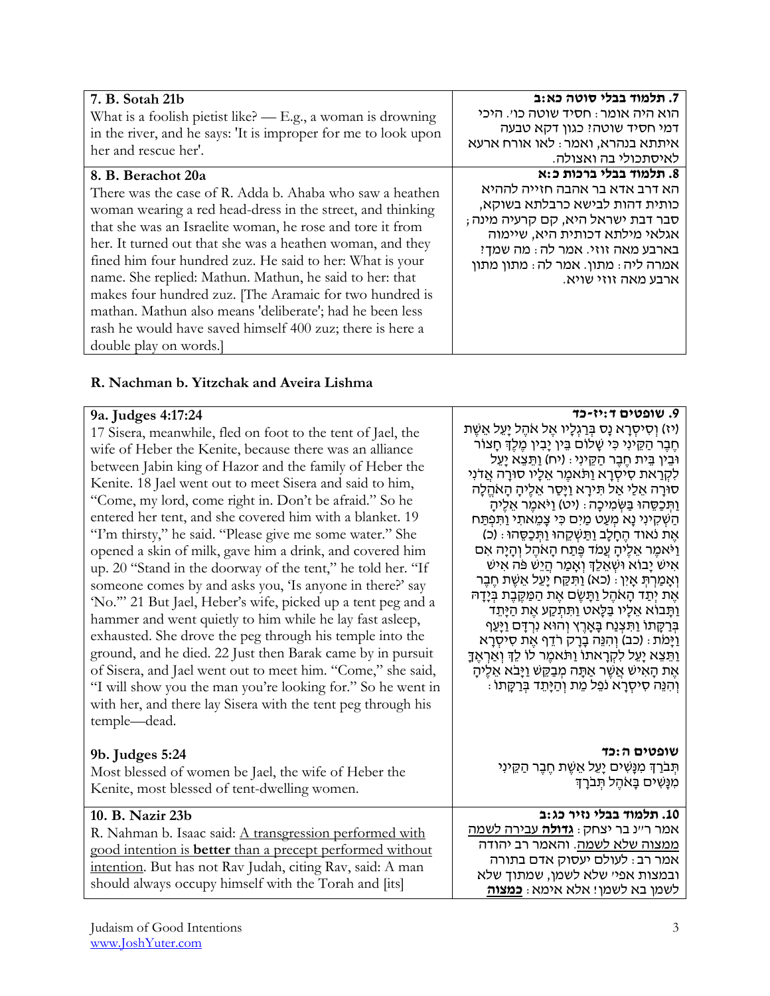|                                                                | 7. תלמוד בבלי סוטה כא:ב            |
|----------------------------------------------------------------|------------------------------------|
| 7. B. Sotah 21b                                                | הוא היה אומר : חסיד שוטה כו׳. היכי |
| What is a foolish pietist like? $-$ E.g., a woman is drowning  |                                    |
| in the river, and he says: 'It is improper for me to look upon | דמי חסיד שוטה? כגון דקא טבעה       |
| her and rescue her'.                                           | איתתא בנהרא, ואמר: לאו אורח ארעא   |
|                                                                | לאיסתכולי בה ואצולה.               |
| 8. B. Berachot 20a                                             | 8. תלמוד בבלי ברכות כ:א            |
| There was the case of R. Adda b. Ahaba who saw a heathen       | הא דרב אדא בר אהבה חזייה לההיא     |
| woman wearing a red head-dress in the street, and thinking     | כותית דהות לבישא כרבלתא בשוקא,     |
| that she was an Israelite woman, he rose and tore it from      | סבר דבת ישראל היא, קם קרעיה מינה;  |
|                                                                | אגלאי מילתא דכותית היא, שיימוה     |
| her. It turned out that she was a heathen woman, and they      | בארבע מאה זוזי. אמר לה: מה שמך?    |
| fined him four hundred zuz. He said to her: What is your       | אמרה ליה: מתון. אמר לה: מתון מתון  |
| name. She replied: Mathun. Mathun, he said to her: that        | ארבע מאה זוזי שויא.                |
| makes four hundred zuz. [The Aramaic for two hundred is        |                                    |
| mathan. Mathun also means 'deliberate'; had he been less       |                                    |
| rash he would have saved himself 400 zuz; there is here a      |                                    |
| double play on words.                                          |                                    |

## **R. Nachman b. Yitzchak and Aveira Lishma**

#### **9a. Judges 4:17:24**

17 Sisera, meanwhile, fled on foot to the tent of Jael, the wife of Heber the Kenite, because there was an alliance between Jabin king of Hazor and the family of Heber the Kenite. 18 Jael went out to meet Sisera and said to him, "Come, my lord, come right in. Don't be afraid." So he entered her tent, and she covered him with a blanket. 19 "I'm thirsty," he said. "Please give me some water." She opened a skin of milk, gave him a drink, and covered him up. 20 "Stand in the doorway of the tent," he told her. "If someone comes by and asks you, 'Is anyone in there?' say 'No.'" 21 But Jael, Heber's wife, picked up a tent peg and a hammer and went quietly to him while he lay fast asleep, exhausted. She drove the peg through his temple into the ground, and he died. 22 Just then Barak came by in pursuit of Sisera, and Jael went out to meet him. "Come," she said, "I will show you the man you're looking for." So he went in with her, and there lay Sisera with the tent peg through his temple—dead.

## **9b. Judges 5:24**

Most blessed of women be Jael, the wife of Heber the Kenite, most blessed of tent-dwelling women.

#### **10. B. Nazir 23b**

R. Nahman b. Isaac said: A transgression performed with good intention is **better** than a precept performed without intention. But has not Rav Judah, citing Rav, said: A man should always occupy himself with the Torah and [its]

**.9 שופטים ד:יז-כד** (יז) וְסִיסְרַא נַס בְּרַגְלָיו אֵל אֹהֶל יַעֲל אֵשֶׁת חֶ בֶ ר הַ קֵ ינִי כִ י שָ לוֹם בֵ ין יָבִ ין מֶ לְֶך חָ צוֹר ּוּבֵין בֵּית חֶבֶר הַקֶינִי: (יח) וַתֵּצֵא יַעֲל לִקְרַאת סִיסְרַא וַתֹּאמֶר אֲלָיו סוּרַה אֲדֹנִי סורַה אֵלֵי אַל תִּירֵא וַיַּסַר אֵלֶיהַ הַאֹהֵלָה וַתְּכַסֶהוּ בַּשְׂמִיכָה: (יט) וַיֹּאמֵר אֵלֶיהָ הַשְׁקִינִי נַא מִעֲט מַיִם כִּי צַמֵאתִי וַתִּפְתַּח אֶת נֹאוד החלב ותַשְקָהוּ וְתְכַסָהוּ : (כ) וַיֹאמֶ ר אֵ לֶיהָ עֲמֹד פֶ תַ ח הָ אֹהֶ ל וְ הָ יָה אִ ם איש יָבוֹא ושִאָלֵךְ וְאָמַר הַיַש פֿה אִיש וְאַמַרְתָ אֵין : (כא) וַתְּקֶח יַעֲל אֲשֶׁת חֶבֶר אֶת יִתַד הָאֹהֶל וַתָּשֶׁם אֶת הַמַּקֶּבֶת בְּיָדָה וַתַּבוֹא אֵלֵיו בַּלַאט וַתִּתְקַע אֶת הַיַּתֵד בְרַקָתוֹ וַתִּצְנַח בַּאַרֶץ וְהוֹא נִרְדָם וַיַּעַף וַיַּמֹת: (כב) וְהִנֶּה בַרַק רֹדֵף אֶת סִיסְרַא וַתֵּצֵא יַעֵל לִקְרַאתוֹ וַתֹּאמֶר לוֹ לֵךְ וְאַרְאֶדָ אֶת הָאִיש אַשֶר אַתָּה מְבַקֶשׁ וַיַּבֹא אָלֶיה וְ הִ נֵה סִ יסְ רָ א נֹפֵ ל מֵ ת וְ הַ יָתֵ ד בְ רַ קָ תוֹ :

> **שופטים ה:כד** תִּבֹרַךְ מִנָּשִׁים יָעֵל אֵשֶׁת חֵבֵר הַקֵּינִי מִנָּשִים בָּאֹהֶל תִבֹּרָךָ

#### **.11 תלמוד בבלי נזיר כג:ב** אמר ר"נ בר יצחק: **גדולה** עבירה לשמה ממצוה שלא לשמה. והאמר רב יהודה אמר רב: לעולם יעסוק אדם בתורה ובמצות אפי' שלא לשמן, שמתוך שלא

לשמן בא לשמן! אלא אימא: **כמצוה**